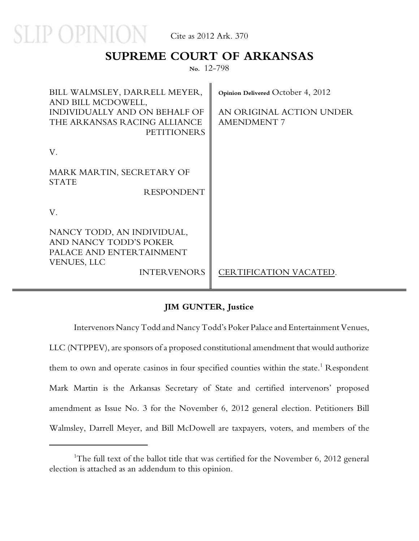

### **SUPREME COURT OF ARKANSAS**

**No.** 12-798

| BILL WALMSLEY, DARRELL MEYER,<br>AND BILL MCDOWELL,<br>INDIVIDUALLY AND ON BEHALF OF<br>THE ARKANSAS RACING ALLIANCE<br><b>PETITIONERS</b> | Opinion Delivered October 4, 2012<br>AN ORIGINAL ACTION UNDER<br><b>AMENDMENT 7</b> |
|--------------------------------------------------------------------------------------------------------------------------------------------|-------------------------------------------------------------------------------------|
| V.                                                                                                                                         |                                                                                     |
| MARK MARTIN, SECRETARY OF<br><b>STATE</b><br><b>RESPONDENT</b>                                                                             |                                                                                     |
| V.                                                                                                                                         |                                                                                     |
| NANCY TODD, AN INDIVIDUAL,<br>AND NANCY TODD'S POKER<br>PALACE AND ENTERTAINMENT<br><b>VENUES, LLC</b><br><b>INTERVENORS</b>               | CERTIFICATION VACATED.                                                              |

#### **JIM GUNTER, Justice**

Intervenors Nancy Todd and Nancy Todd's Poker Palace and Entertainment Venues,

LLC (NTPPEV), are sponsors of a proposed constitutional amendment that would authorize them to own and operate casinos in four specified counties within the state. $^1$  Respondent Mark Martin is the Arkansas Secretary of State and certified intervenors' proposed amendment as Issue No. 3 for the November 6, 2012 general election. Petitioners Bill Walmsley, Darrell Meyer, and Bill McDowell are taxpayers, voters, and members of the

<sup>&</sup>lt;sup>1</sup>The full text of the ballot title that was certified for the November 6, 2012 general election is attached as an addendum to this opinion.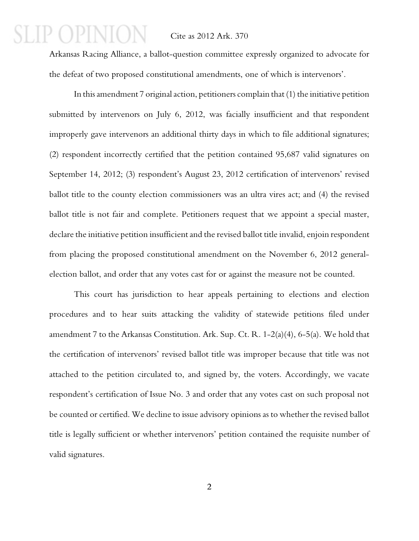Arkansas Racing Alliance, a ballot-question committee expressly organized to advocate for the defeat of two proposed constitutional amendments, one of which is intervenors'.

In this amendment 7 original action, petitioners complain that (1) the initiative petition submitted by intervenors on July 6, 2012, was facially insufficient and that respondent improperly gave intervenors an additional thirty days in which to file additional signatures; (2) respondent incorrectly certified that the petition contained 95,687 valid signatures on September 14, 2012; (3) respondent's August 23, 2012 certification of intervenors' revised ballot title to the county election commissioners was an ultra vires act; and (4) the revised ballot title is not fair and complete. Petitioners request that we appoint a special master, declare the initiative petition insufficient and the revised ballot title invalid, enjoin respondent from placing the proposed constitutional amendment on the November 6, 2012 generalelection ballot, and order that any votes cast for or against the measure not be counted.

This court has jurisdiction to hear appeals pertaining to elections and election procedures and to hear suits attacking the validity of statewide petitions filed under amendment 7 to the Arkansas Constitution. Ark. Sup. Ct. R. 1-2(a)(4), 6-5(a). We hold that the certification of intervenors' revised ballot title was improper because that title was not attached to the petition circulated to, and signed by, the voters. Accordingly, we vacate respondent's certification of Issue No. 3 and order that any votes cast on such proposal not be counted or certified. We decline to issue advisory opinions as to whether the revised ballot title is legally sufficient or whether intervenors' petition contained the requisite number of valid signatures.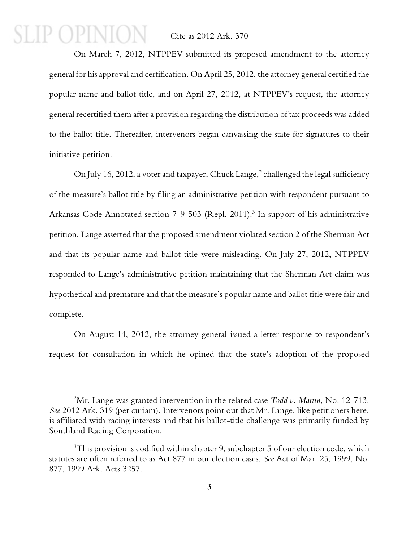### P OPINIO Cite as 2012 Ark. 370

On March 7, 2012, NTPPEV submitted its proposed amendment to the attorney general for his approval and certification. On April 25, 2012, the attorney general certified the popular name and ballot title, and on April 27, 2012, at NTPPEV's request, the attorney general recertified them after a provision regarding the distribution of tax proceeds was added to the ballot title. Thereafter, intervenors began canvassing the state for signatures to their initiative petition.

On July 16, 2012, a voter and taxpayer, Chuck Lange, $^2$  challenged the legal sufficiency of the measure's ballot title by filing an administrative petition with respondent pursuant to Arkansas Code Annotated section 7-9-503 (Repl. 2011).<sup>3</sup> In support of his administrative petition, Lange asserted that the proposed amendment violated section 2 of the Sherman Act and that its popular name and ballot title were misleading. On July 27, 2012, NTPPEV responded to Lange's administrative petition maintaining that the Sherman Act claim was hypothetical and premature and that the measure's popular name and ballot title were fair and complete.

On August 14, 2012, the attorney general issued a letter response to respondent's request for consultation in which he opined that the state's adoption of the proposed

<sup>2</sup>Mr. Lange was granted intervention in the related case *Todd v. Martin*, No. 12-713. *See* 2012 Ark. 319 (per curiam). Intervenors point out that Mr. Lange, like petitioners here, is affiliated with racing interests and that his ballot-title challenge was primarily funded by Southland Racing Corporation.

 $3$ This provision is codified within chapter 9, subchapter 5 of our election code, which statutes are often referred to as Act 877 in our election cases. *See* Act of Mar. 25, 1999, No. 877, 1999 Ark. Acts 3257.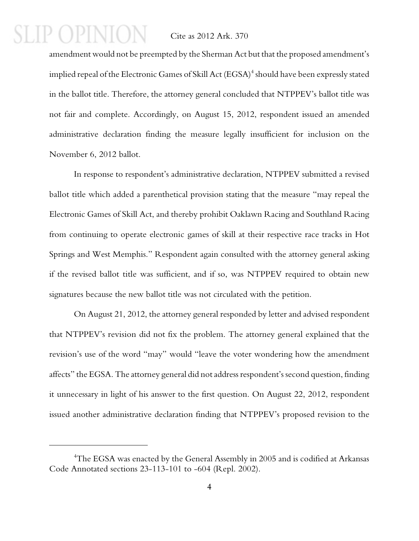$12 N1$ 

amendment would not be preempted by the Sherman Act but that the proposed amendment's implied repeal of the Electronic Games of Skill Act (EGSA) $^{\rm 4}$  should have been expressly stated in the ballot title. Therefore, the attorney general concluded that NTPPEV's ballot title was not fair and complete. Accordingly, on August 15, 2012, respondent issued an amended administrative declaration finding the measure legally insufficient for inclusion on the November 6, 2012 ballot.

In response to respondent's administrative declaration, NTPPEV submitted a revised ballot title which added a parenthetical provision stating that the measure "may repeal the Electronic Games of Skill Act, and thereby prohibit Oaklawn Racing and Southland Racing from continuing to operate electronic games of skill at their respective race tracks in Hot Springs and West Memphis." Respondent again consulted with the attorney general asking if the revised ballot title was sufficient, and if so, was NTPPEV required to obtain new signatures because the new ballot title was not circulated with the petition.

On August 21, 2012, the attorney general responded by letter and advised respondent that NTPPEV's revision did not fix the problem. The attorney general explained that the revision's use of the word "may" would "leave the voter wondering how the amendment affects" the EGSA. The attorney general did not address respondent's second question, finding it unnecessary in light of his answer to the first question. On August 22, 2012, respondent issued another administrative declaration finding that NTPPEV's proposed revision to the

<sup>&</sup>lt;sup>4</sup>The EGSA was enacted by the General Assembly in 2005 and is codified at Arkansas Code Annotated sections 23-113-101 to -604 (Repl. 2002).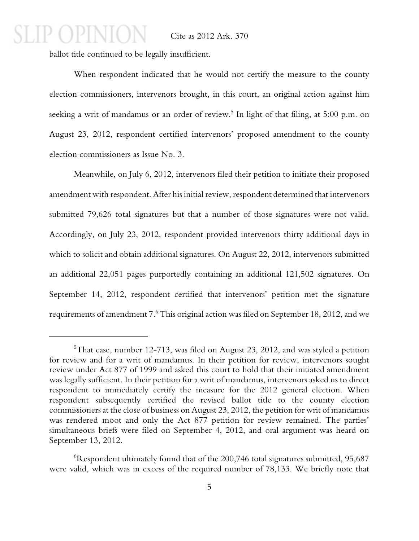ballot title continued to be legally insufficient.

P OPINIO

When respondent indicated that he would not certify the measure to the county election commissioners, intervenors brought, in this court, an original action against him seeking a writ of mandamus or an order of review. $^5$  In light of that filing, at 5:00 p.m. on August 23, 2012, respondent certified intervenors' proposed amendment to the county election commissioners as Issue No. 3.

Meanwhile, on July 6, 2012, intervenors filed their petition to initiate their proposed amendment with respondent. After his initial review, respondent determined that intervenors submitted 79,626 total signatures but that a number of those signatures were not valid. Accordingly, on July 23, 2012, respondent provided intervenors thirty additional days in which to solicit and obtain additional signatures. On August 22, 2012, intervenors submitted an additional 22,051 pages purportedly containing an additional 121,502 signatures. On September 14, 2012, respondent certified that intervenors' petition met the signature requirements of amendment 7.  $^6$  This original action was filed on September 18, 2012, and we

 $5$ That case, number 12-713, was filed on August 23, 2012, and was styled a petition for review and for a writ of mandamus. In their petition for review, intervenors sought review under Act 877 of 1999 and asked this court to hold that their initiated amendment was legally sufficient. In their petition for a writ of mandamus, intervenors asked us to direct respondent to immediately certify the measure for the 2012 general election. When respondent subsequently certified the revised ballot title to the county election commissioners at the close of business on August 23, 2012, the petition for writ of mandamus was rendered moot and only the Act 877 petition for review remained. The parties' simultaneous briefs were filed on September 4, 2012, and oral argument was heard on September 13, 2012.

 ${}^{6}$ Respondent ultimately found that of the 200,746 total signatures submitted, 95,687 were valid, which was in excess of the required number of 78,133. We briefly note that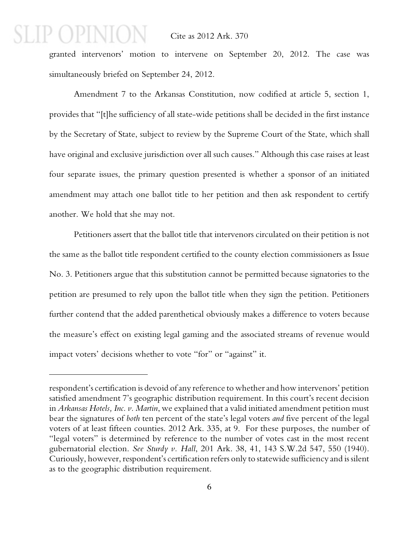$P($ ) $P[N]()$ 

granted intervenors' motion to intervene on September 20, 2012. The case was simultaneously briefed on September 24, 2012.

Amendment 7 to the Arkansas Constitution, now codified at article 5, section 1, provides that "[t]he sufficiency of all state-wide petitions shall be decided in the first instance by the Secretary of State, subject to review by the Supreme Court of the State, which shall have original and exclusive jurisdiction over all such causes." Although this case raises at least four separate issues, the primary question presented is whether a sponsor of an initiated amendment may attach one ballot title to her petition and then ask respondent to certify another. We hold that she may not.

Petitioners assert that the ballot title that intervenors circulated on their petition is not the same as the ballot title respondent certified to the county election commissioners as Issue No. 3. Petitioners argue that this substitution cannot be permitted because signatories to the petition are presumed to rely upon the ballot title when they sign the petition. Petitioners further contend that the added parenthetical obviously makes a difference to voters because the measure's effect on existing legal gaming and the associated streams of revenue would impact voters' decisions whether to vote "for" or "against" it.

respondent's certification is devoid of any reference to whether and how intervenors' petition satisfied amendment 7's geographic distribution requirement. In this court's recent decision in *Arkansas Hotels, Inc. v. Martin*, we explained that a valid initiated amendment petition must bear the signatures of *both* ten percent of the state's legal voters *and* five percent of the legal voters of at least fifteen counties. 2012 Ark. 335, at 9. For these purposes, the number of "legal voters" is determined by reference to the number of votes cast in the most recent gubernatorial election. *See Sturdy v. Hall*, 201 Ark. 38, 41, 143 S.W.2d 547, 550 (1940). Curiously, however, respondent's certification refers only to statewide sufficiency and is silent as to the geographic distribution requirement.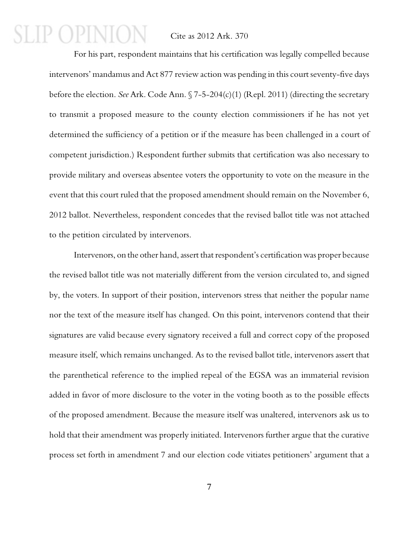## P OPINIO

#### Cite as 2012 Ark. 370

For his part, respondent maintains that his certification was legally compelled because intervenors' mandamus and Act 877 review action was pending in this court seventy-five days before the election. *See* Ark. Code Ann. § 7-5-204(c)(1) (Repl. 2011) (directing the secretary to transmit a proposed measure to the county election commissioners if he has not yet determined the sufficiency of a petition or if the measure has been challenged in a court of competent jurisdiction.) Respondent further submits that certification was also necessary to provide military and overseas absentee voters the opportunity to vote on the measure in the event that this court ruled that the proposed amendment should remain on the November 6, 2012 ballot. Nevertheless, respondent concedes that the revised ballot title was not attached to the petition circulated by intervenors.

Intervenors, on the other hand, assert that respondent's certification was proper because the revised ballot title was not materially different from the version circulated to, and signed by, the voters. In support of their position, intervenors stress that neither the popular name nor the text of the measure itself has changed. On this point, intervenors contend that their signatures are valid because every signatory received a full and correct copy of the proposed measure itself, which remains unchanged. As to the revised ballot title, intervenors assert that the parenthetical reference to the implied repeal of the EGSA was an immaterial revision added in favor of more disclosure to the voter in the voting booth as to the possible effects of the proposed amendment. Because the measure itself was unaltered, intervenors ask us to hold that their amendment was properly initiated. Intervenors further argue that the curative process set forth in amendment 7 and our election code vitiates petitioners' argument that a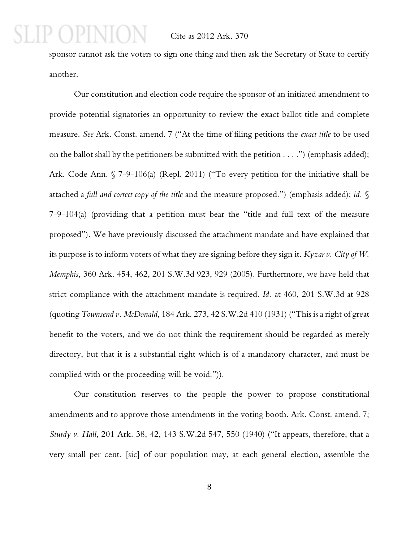$12N$ 

sponsor cannot ask the voters to sign one thing and then ask the Secretary of State to certify another.

Our constitution and election code require the sponsor of an initiated amendment to provide potential signatories an opportunity to review the exact ballot title and complete measure. *See* Ark. Const. amend. 7 ("At the time of filing petitions the *exact title* to be used on the ballot shall by the petitioners be submitted with the petition . . . .") (emphasis added); Ark. Code Ann. § 7-9-106(a) (Repl. 2011) ("To every petition for the initiative shall be attached a *full and correct copy of the title* and the measure proposed.") (emphasis added); *id.* § 7-9-104(a) (providing that a petition must bear the "title and full text of the measure proposed"). We have previously discussed the attachment mandate and have explained that its purpose is to inform voters of what they are signing before they sign it. *Kyzar v. City of W. Memphis*, 360 Ark. 454, 462, 201 S.W.3d 923, 929 (2005). Furthermore, we have held that strict compliance with the attachment mandate is required. *Id.* at 460, 201 S.W.3d at 928 (quoting *Townsend v. McDonald*, 184 Ark. 273, 42 S.W.2d 410 (1931) ("This is a right of great benefit to the voters, and we do not think the requirement should be regarded as merely directory, but that it is a substantial right which is of a mandatory character, and must be complied with or the proceeding will be void.")).

Our constitution reserves to the people the power to propose constitutional amendments and to approve those amendments in the voting booth. Ark. Const. amend. 7; *Sturdy v. Hall*, 201 Ark. 38, 42, 143 S.W.2d 547, 550 (1940) ("It appears, therefore, that a very small per cent. [sic] of our population may, at each general election, assemble the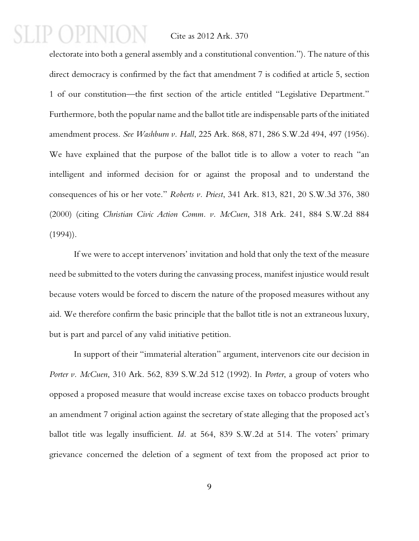## $\Box$

#### Cite as 2012 Ark. 370

electorate into both a general assembly and a constitutional convention."). The nature of this direct democracy is confirmed by the fact that amendment 7 is codified at article 5, section 1 of our constitution—the first section of the article entitled "Legislative Department." Furthermore, both the popular name and the ballot title are indispensable parts of the initiated amendment process. *See Washburn v. Hall*, 225 Ark. 868, 871, 286 S.W.2d 494, 497 (1956). We have explained that the purpose of the ballot title is to allow a voter to reach "an intelligent and informed decision for or against the proposal and to understand the consequences of his or her vote." *Roberts v. Priest*, 341 Ark. 813, 821, 20 S.W.3d 376, 380 (2000) (citing *Christian Civic Action Comm. v. McCuen*, 318 Ark. 241, 884 S.W.2d 884  $(1994)$ .

If we were to accept intervenors' invitation and hold that only the text of the measure need be submitted to the voters during the canvassing process, manifest injustice would result because voters would be forced to discern the nature of the proposed measures without any aid. We therefore confirm the basic principle that the ballot title is not an extraneous luxury, but is part and parcel of any valid initiative petition.

In support of their "immaterial alteration" argument, intervenors cite our decision in *Porter v. McCuen*, 310 Ark. 562, 839 S.W.2d 512 (1992). In *Porter*, a group of voters who opposed a proposed measure that would increase excise taxes on tobacco products brought an amendment 7 original action against the secretary of state alleging that the proposed act's ballot title was legally insufficient. *Id.* at 564, 839 S.W.2d at 514. The voters' primary grievance concerned the deletion of a segment of text from the proposed act prior to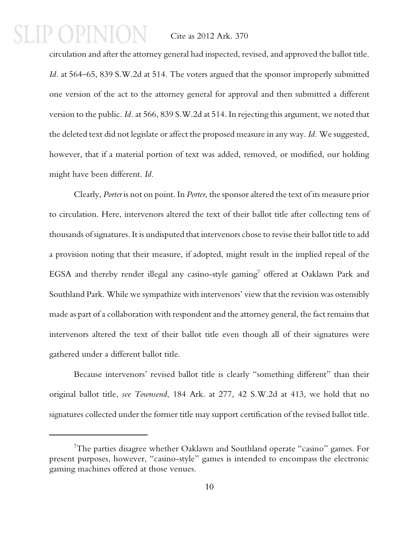## $P(1)$  $P[N]$

#### Cite as 2012 Ark. 370

circulation and after the attorney general had inspected, revised, and approved the ballot title. *Id.* at 564–65, 839 S.W.2d at 514. The voters argued that the sponsor improperly submitted one version of the act to the attorney general for approval and then submitted a different version to the public. *Id.* at 566, 839 S.W.2d at 514. In rejecting this argument, we noted that the deleted text did not legislate or affect the proposed measure in any way. *Id.* We suggested, however, that if a material portion of text was added, removed, or modified, our holding might have been different. *Id.*

Clearly, *Porter* is not on point. In *Porter*, the sponsor altered the text of its measure prior to circulation. Here, intervenors altered the text of their ballot title after collecting tens of thousands of signatures. It is undisputed that intervenors chose to revise their ballot title to add a provision noting that their measure, if adopted, might result in the implied repeal of the EGSA and thereby render illegal any casino-style gaming<sup>7</sup> offered at Oaklawn Park and Southland Park. While we sympathize with intervenors' view that the revision was ostensibly made as part of a collaboration with respondent and the attorney general, the fact remains that intervenors altered the text of their ballot title even though all of their signatures were gathered under a different ballot title.

Because intervenors' revised ballot title is clearly "something different" than their original ballot title, *see Townsend*, 184 Ark. at 277, 42 S.W.2d at 413, we hold that no signatures collected under the former title may support certification of the revised ballot title.

<sup>&</sup>lt;sup>7</sup>The parties disagree whether Oaklawn and Southland operate "casino" games. For present purposes, however, "casino-style" games is intended to encompass the electronic gaming machines offered at those venues.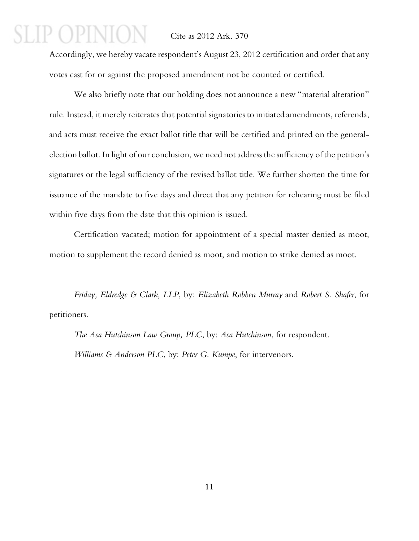Accordingly, we hereby vacate respondent's August 23, 2012 certification and order that any votes cast for or against the proposed amendment not be counted or certified.

We also briefly note that our holding does not announce a new "material alteration" rule. Instead, it merely reiterates that potential signatories to initiated amendments, referenda, and acts must receive the exact ballot title that will be certified and printed on the generalelection ballot. In light of our conclusion, we need not address the sufficiency of the petition's signatures or the legal sufficiency of the revised ballot title. We further shorten the time for issuance of the mandate to five days and direct that any petition for rehearing must be filed within five days from the date that this opinion is issued.

Certification vacated; motion for appointment of a special master denied as moot, motion to supplement the record denied as moot, and motion to strike denied as moot.

*Friday, Eldredge & Clark, LLP*, by: *Elizabeth Robben Murray* and *Robert S. Shafer*, for petitioners.

*The Asa Hutchinson Law Group, PLC*, by: *Asa Hutchinson*, for respondent. *Williams & Anderson PLC*, by: *Peter G. Kumpe*, for intervenors.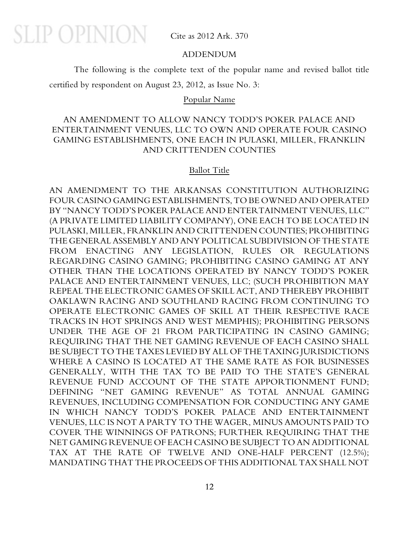**SLIP OPINION** 

Cite as 2012 Ark. 370

#### ADDENDUM

The following is the complete text of the popular name and revised ballot title certified by respondent on August 23, 2012, as Issue No. 3:

#### Popular Name

#### AN AMENDMENT TO ALLOW NANCY TODD'S POKER PALACE AND ENTERTAINMENT VENUES, LLC TO OWN AND OPERATE FOUR CASINO GAMING ESTABLISHMENTS, ONE EACH IN PULASKI, MILLER, FRANKLIN AND CRITTENDEN COUNTIES

#### Ballot Title

AN AMENDMENT TO THE ARKANSAS CONSTITUTION AUTHORIZING FOUR CASINO GAMING ESTABLISHMENTS, TO BE OWNED AND OPERATED BY "NANCY TODD'S POKER PALACE AND ENTERTAINMENT VENUES, LLC" (A PRIVATE LIMITED LIABILITY COMPANY), ONE EACH TO BE LOCATED IN PULASKI, MILLER, FRANKLIN AND CRITTENDEN COUNTIES; PROHIBITING THE GENERAL ASSEMBLY AND ANY POLITICAL SUBDIVISION OF THE STATE FROM ENACTING ANY LEGISLATION, RULES OR REGULATIONS REGARDING CASINO GAMING; PROHIBITING CASINO GAMING AT ANY OTHER THAN THE LOCATIONS OPERATED BY NANCY TODD'S POKER PALACE AND ENTERTAINMENT VENUES, LLC; (SUCH PROHIBITION MAY REPEAL THE ELECTRONIC GAMES OF SKILL ACT, AND THEREBY PROHIBIT OAKLAWN RACING AND SOUTHLAND RACING FROM CONTINUING TO OPERATE ELECTRONIC GAMES OF SKILL AT THEIR RESPECTIVE RACE TRACKS IN HOT SPRINGS AND WEST MEMPHIS); PROHIBITING PERSONS UNDER THE AGE OF 21 FROM PARTICIPATING IN CASINO GAMING; REQUIRING THAT THE NET GAMING REVENUE OF EACH CASINO SHALL BE SUBJECT TO THE TAXES LEVIED BY ALL OF THE TAXING JURISDICTIONS WHERE A CASINO IS LOCATED AT THE SAME RATE AS FOR BUSINESSES GENERALLY, WITH THE TAX TO BE PAID TO THE STATE'S GENERAL REVENUE FUND ACCOUNT OF THE STATE APPORTIONMENT FUND; DEFINING "NET GAMING REVENUE" AS TOTAL ANNUAL GAMING REVENUES, INCLUDING COMPENSATION FOR CONDUCTING ANY GAME IN WHICH NANCY TODD'S POKER PALACE AND ENTERTAINMENT VENUES, LLC IS NOT A PARTY TO THE WAGER, MINUS AMOUNTS PAID TO COVER THE WINNINGS OF PATRONS; FURTHER REQUIRING THAT THE NET GAMING REVENUE OF EACH CASINO BE SUBJECT TO AN ADDITIONAL TAX AT THE RATE OF TWELVE AND ONE-HALF PERCENT (12.5%); MANDATING THAT THE PROCEEDS OF THIS ADDITIONAL TAX SHALL NOT